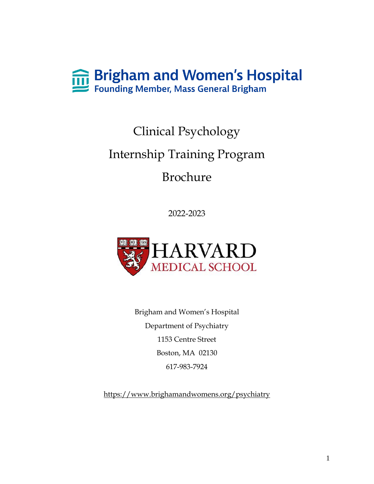

# Clinical Psychology Internship Training Program Brochure

2022-2023



Brigham and Women's Hospital Department of Psychiatry 1153 Centre Street Boston, MA 02130 617-983-7924

<https://www.brighamandwomens.org/psychiatry>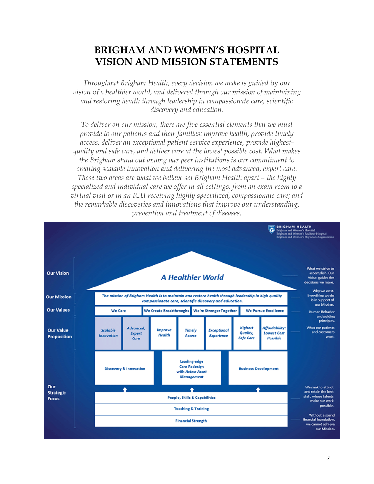# **BRIGHAM AND WOMEN'S HOSPITAL VISION AND MISSION STATEMENTS**

*Throughout Brigham Health, every decision we make is guided* by *our vision* o*f a healthier world, and delivered through our mission of maintaining and restoring health through leadership in compassionate care, scientific discovery and education.*

*To deliver on our mission, there are five essential elements that we must provide to our patients and their families: improve health, provide timely access, deliver an exceptional patient service experience, provide highestquality and safe care, and deliver care at the lowest possible cost. What makes the Brigham stand out among our peer institutions is our commitment to creating scalable innovation and delivering the most advanced, expert care. These two areas are what we believe set Brigham Health apart – the highly specialized and individual care we offer in all settings, from an exam room to a virtual visit or in an ICU receiving highly specialized, compassionate care; and the remarkable discoveries and innovations that improve our understanding, prevention and treatment of diseases.*

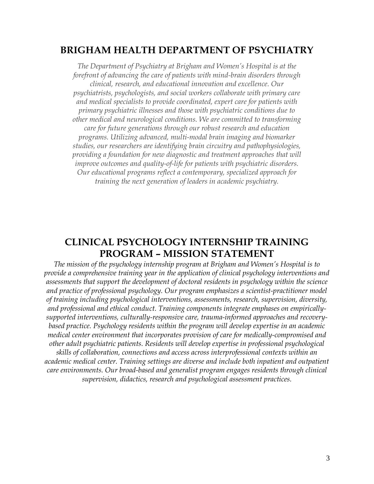# **BRIGHAM HEALTH DEPARTMENT OF PSYCHIATRY**

*The Department of Psychiatry at Brigham and Women's Hospital is at the forefront of advancing the care of patients with mind-brain disorders through clinical, research, and educational innovation and excellence. Our psychiatrists, psychologists, and social workers collaborate with primary care and medical specialists to provide coordinated, expert care for patients with primary psychiatric illnesses and those with psychiatric conditions due to other medical and neurological conditions. We are committed to transforming care for future generations through our robust research and education programs. Utilizing advanced, multi-modal brain imaging and biomarker studies, our researchers are identifying brain circuitry and pathophysiologies, providing a foundation for new diagnostic and treatment approaches that will improve outcomes and quality-of-life for patients with psychiatric disorders. Our educational programs reflect a contemporary, specialized approach for training the next generation of leaders in academic psychiatry.*

# **CLINICAL PSYCHOLOGY INTERNSHIP TRAINING PROGRAM – MISSION STATEMENT**

*The mission of the psychology internship program at Brigham and Women's Hospital is to provide a comprehensive training year in the application of clinical psychology interventions and assessments that support the development of doctoral residents in psychology within the science and practice of professional psychology. Our program emphasizes a scientist-practitioner model of training including psychological interventions, assessments, research, supervision, diversity, and professional and ethical conduct. Training components integrate emphases on empiricallysupported interventions, culturally-responsive care, trauma-informed approaches and recoverybased practice. Psychology residents within the program will develop expertise in an academic medical center environment that incorporates provision of care for medically-compromised and other adult psychiatric patients. Residents will develop expertise in professional psychological skills of collaboration, connections and access across interprofessional contexts within an academic medical center. Training settings are diverse and include both inpatient and outpatient care environments. Our broad-based and generalist program engages residents through clinical supervision, didactics, research and psychological assessment practices.*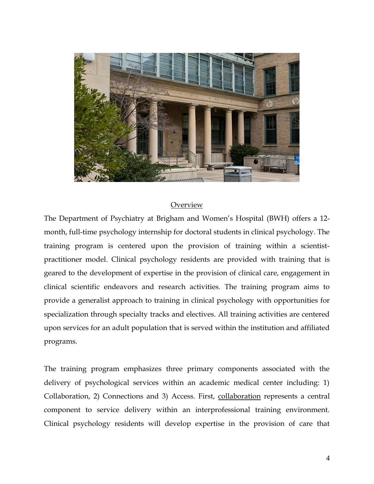

#### Overview

The Department of Psychiatry at Brigham and Women's Hospital (BWH) offers a 12 month, full-time psychology internship for doctoral students in clinical psychology. The training program is centered upon the provision of training within a scientistpractitioner model. Clinical psychology residents are provided with training that is geared to the development of expertise in the provision of clinical care, engagement in clinical scientific endeavors and research activities. The training program aims to provide a generalist approach to training in clinical psychology with opportunities for specialization through specialty tracks and electives. All training activities are centered upon services for an adult population that is served within the institution and affiliated programs.

The training program emphasizes three primary components associated with the delivery of psychological services within an academic medical center including: 1) Collaboration, 2) Connections and 3) Access. First, collaboration represents a central component to service delivery within an interprofessional training environment. Clinical psychology residents will develop expertise in the provision of care that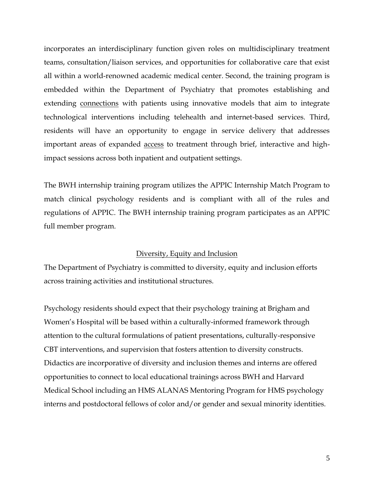incorporates an interdisciplinary function given roles on multidisciplinary treatment teams, consultation/liaison services, and opportunities for collaborative care that exist all within a world-renowned academic medical center. Second, the training program is embedded within the Department of Psychiatry that promotes establishing and extending connections with patients using innovative models that aim to integrate technological interventions including telehealth and internet-based services. Third, residents will have an opportunity to engage in service delivery that addresses important areas of expanded access to treatment through brief, interactive and highimpact sessions across both inpatient and outpatient settings.

The BWH internship training program utilizes the APPIC Internship Match Program to match clinical psychology residents and is compliant with all of the rules and regulations of APPIC. The BWH internship training program participates as an APPIC full member program.

#### Diversity, Equity and Inclusion

The Department of Psychiatry is committed to diversity, equity and inclusion efforts across training activities and institutional structures.

Psychology residents should expect that their psychology training at Brigham and Women's Hospital will be based within a culturally-informed framework through attention to the cultural formulations of patient presentations, culturally-responsive CBT interventions, and supervision that fosters attention to diversity constructs. Didactics are incorporative of diversity and inclusion themes and interns are offered opportunities to connect to local educational trainings across BWH and Harvard Medical School including an HMS ALANAS Mentoring Program for HMS psychology interns and postdoctoral fellows of color and/or gender and sexual minority identities.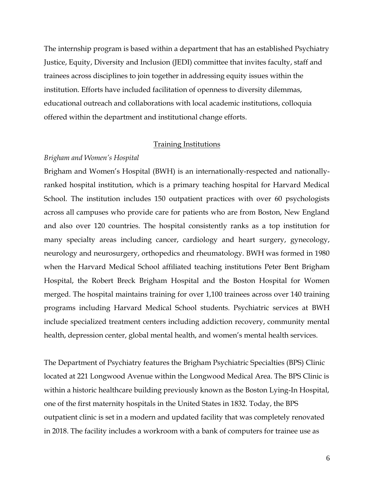The internship program is based within a department that has an established Psychiatry Justice, Equity, Diversity and Inclusion (JEDI) committee that invites faculty, staff and trainees across disciplines to join together in addressing equity issues within the institution. Efforts have included facilitation of openness to diversity dilemmas, educational outreach and collaborations with local academic institutions, colloquia offered within the department and institutional change efforts.

## Training Institutions

#### *Brigham and Women's Hospital*

Brigham and Women's Hospital (BWH) is an internationally-respected and nationallyranked hospital institution, which is a primary teaching hospital for Harvard Medical School. The institution includes 150 outpatient practices with over 60 psychologists across all campuses who provide care for patients who are from Boston, New England and also over 120 countries. The hospital consistently ranks as a top institution for many specialty areas including cancer, cardiology and heart surgery, gynecology, neurology and neurosurgery, orthopedics and rheumatology. BWH was formed in 1980 when the Harvard Medical School affiliated teaching institutions Peter Bent Brigham Hospital, the Robert Breck Brigham Hospital and the Boston Hospital for Women merged. The hospital maintains training for over 1,100 trainees across over 140 training programs including Harvard Medical School students. Psychiatric services at BWH include specialized treatment centers including addiction recovery, community mental health, depression center, global mental health, and women's mental health services.

The Department of Psychiatry features the Brigham Psychiatric Specialties (BPS) Clinic located at 221 Longwood Avenue within the Longwood Medical Area. The BPS Clinic is within a historic healthcare building previously known as the Boston Lying-In Hospital, one of the first maternity hospitals in the United States in 1832. Today, the BPS outpatient clinic is set in a modern and updated facility that was completely renovated in 2018. The facility includes a workroom with a bank of computers for trainee use as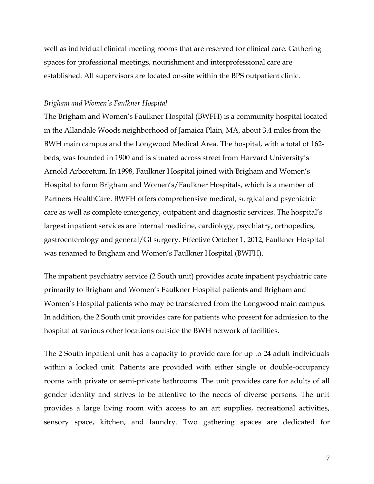well as individual clinical meeting rooms that are reserved for clinical care. Gathering spaces for professional meetings, nourishment and interprofessional care are established. All supervisors are located on-site within the BPS outpatient clinic.

#### *Brigham and Women's Faulkner Hospital*

The Brigham and Women's Faulkner Hospital (BWFH) is a community hospital located in the Allandale Woods neighborhood of Jamaica Plain, MA, about 3.4 miles from the BWH main campus and the Longwood Medical Area. The hospital, with a total of 162 beds, was founded in 1900 and is situated across street from Harvard University's Arnold Arboretum. In 1998, Faulkner Hospital joined with Brigham and Women's Hospital to form Brigham and Women's/Faulkner Hospitals, which is a member of Partners HealthCare. BWFH offers comprehensive medical, surgical and psychiatric care as well as complete emergency, outpatient and diagnostic services. The hospital's largest inpatient services are internal medicine, cardiology, psychiatry, orthopedics, gastroenterology and general/GI surgery. Effective October 1, 2012, Faulkner Hospital was renamed to Brigham and Women's Faulkner Hospital (BWFH).

The inpatient psychiatry service (2 South unit) provides acute inpatient psychiatric care primarily to Brigham and Women's Faulkner Hospital patients and Brigham and Women's Hospital patients who may be transferred from the Longwood main campus. In addition, the 2 South unit provides care for patients who present for admission to the hospital at various other locations outside the BWH network of facilities.

The 2 South inpatient unit has a capacity to provide care for up to 24 adult individuals within a locked unit. Patients are provided with either single or double-occupancy rooms with private or semi-private bathrooms. The unit provides care for adults of all gender identity and strives to be attentive to the needs of diverse persons. The unit provides a large living room with access to an art supplies, recreational activities, sensory space, kitchen, and laundry. Two gathering spaces are dedicated for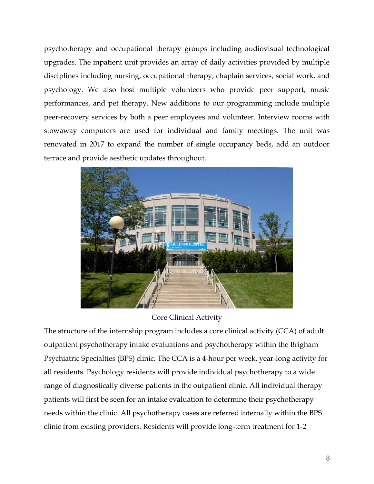psychotherapy and occupational therapy groups including audiovisual technological upgrades. The inpatient unit provides an array of daily activities provided by multiple disciplines including nursing, occupational therapy, chaplain services, social work, and psychology. We also host multiple volunteers who provide peer support, music performances, and pet therapy. New additions to our programming include multiple peer-recovery services by both a peer employees and volunteer. Interview rooms with stowaway computers are used for individual and family meetings. The unit was renovated in 2017 to expand the number of single occupancy beds, add an outdoor terrace and provide aesthetic updates throughout.



# Core Clinical Activity

The structure of the internship program includes a core clinical activity (CCA) of adult outpatient psychotherapy intake evaluations and psychotherapy within the Brigham Psychiatric Specialties (BPS) clinic. The CCA is a 4-hour per week, year-long activity for all residents. Psychology residents will provide individual psychotherapy to a wide range of diagnostically diverse patients in the outpatient clinic. All individual therapy patients will first be seen for an intake evaluation to determine their psychotherapy needs within the clinic. All psychotherapy cases are referred internally within the BPS clinic from existing providers. Residents will provide long-term treatment for 1-2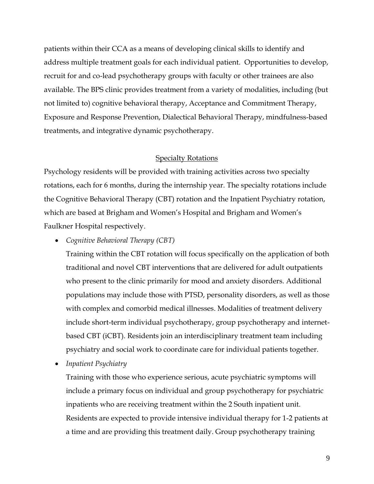patients within their CCA as a means of developing clinical skills to identify and address multiple treatment goals for each individual patient. Opportunities to develop, recruit for and co-lead psychotherapy groups with faculty or other trainees are also available. The BPS clinic provides treatment from a variety of modalities, including (but not limited to) cognitive behavioral therapy, Acceptance and Commitment Therapy, Exposure and Response Prevention, Dialectical Behavioral Therapy, mindfulness-based treatments, and integrative dynamic psychotherapy.

#### Specialty Rotations

Psychology residents will be provided with training activities across two specialty rotations, each for 6 months, during the internship year. The specialty rotations include the Cognitive Behavioral Therapy (CBT) rotation and the Inpatient Psychiatry rotation, which are based at Brigham and Women's Hospital and Brigham and Women's Faulkner Hospital respectively.

• *Cognitive Behavioral Therapy (CBT)*

Training within the CBT rotation will focus specifically on the application of both traditional and novel CBT interventions that are delivered for adult outpatients who present to the clinic primarily for mood and anxiety disorders. Additional populations may include those with PTSD, personality disorders, as well as those with complex and comorbid medical illnesses. Modalities of treatment delivery include short-term individual psychotherapy, group psychotherapy and internetbased CBT (iCBT). Residents join an interdisciplinary treatment team including psychiatry and social work to coordinate care for individual patients together.

• *Inpatient Psychiatry*

Training with those who experience serious, acute psychiatric symptoms will include a primary focus on individual and group psychotherapy for psychiatric inpatients who are receiving treatment within the 2 South inpatient unit. Residents are expected to provide intensive individual therapy for 1-2 patients at a time and are providing this treatment daily. Group psychotherapy training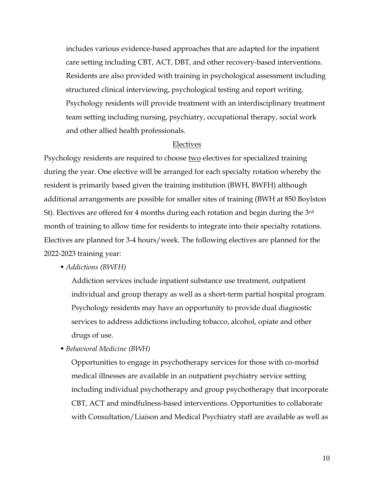includes various evidence-based approaches that are adapted for the inpatient care setting including CBT, ACT, DBT, and other recovery-based interventions. Residents are also provided with training in psychological assessment including structured clinical interviewing, psychological testing and report writing. Psychology residents will provide treatment with an interdisciplinary treatment team setting including nursing, psychiatry, occupational therapy, social work and other allied health professionals.

#### Electives

Psychology residents are required to choose two electives for specialized training during the year. One elective will be arranged for each specialty rotation whereby the resident is primarily based given the training institution (BWH, BWFH) although additional arrangements are possible for smaller sites of training (BWH at 850 Boylston St). Electives are offered for 4 months during each rotation and begin during the 3rd month of training to allow time for residents to integrate into their specialty rotations. Electives are planned for 3-4 hours/week. The following electives are planned for the 2022-2023 training year:

▪ *Addictions (BWFH)*

Addiction services include inpatient substance use treatment, outpatient individual and group therapy as well as a short-term partial hospital program. Psychology residents may have an opportunity to provide dual diagnostic services to address addictions including tobacco, alcohol, opiate and other drugs of use.

▪ *Behavioral Medicine (BWH)*

Opportunities to engage in psychotherapy services for those with co-morbid medical illnesses are available in an outpatient psychiatry service setting including individual psychotherapy and group psychotherapy that incorporate CBT, ACT and mindfulness-based interventions. Opportunities to collaborate with Consultation/Liaison and Medical Psychiatry staff are available as well as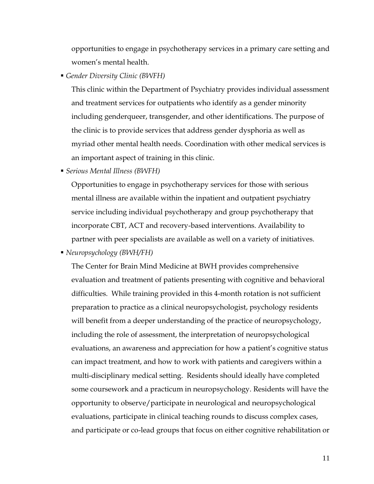opportunities to engage in psychotherapy services in a primary care setting and women's mental health.

▪ *Gender Diversity Clinic (BWFH)*

This clinic within the Department of Psychiatry provides individual assessment and treatment services for outpatients who identify as a gender minority including genderqueer, transgender, and other identifications. The purpose of the clinic is to provide services that address gender dysphoria as well as myriad other mental health needs. Coordination with other medical services is an important aspect of training in this clinic.

▪ *Serious Mental Illness (BWFH)*

Opportunities to engage in psychotherapy services for those with serious mental illness are available within the inpatient and outpatient psychiatry service including individual psychotherapy and group psychotherapy that incorporate CBT, ACT and recovery-based interventions. Availability to partner with peer specialists are available as well on a variety of initiatives.

▪ *Neuropsychology (BWH/FH)*

The Center for Brain Mind Medicine at BWH provides comprehensive evaluation and treatment of patients presenting with cognitive and behavioral difficulties. While training provided in this 4-month rotation is not sufficient preparation to practice as a clinical neuropsychologist, psychology residents will benefit from a deeper understanding of the practice of neuropsychology, including the role of assessment, the interpretation of neuropsychological evaluations, an awareness and appreciation for how a patient's cognitive status can impact treatment, and how to work with patients and caregivers within a multi-disciplinary medical setting. Residents should ideally have completed some coursework and a practicum in neuropsychology. Residents will have the opportunity to observe/participate in neurological and neuropsychological evaluations, participate in clinical teaching rounds to discuss complex cases, and participate or co-lead groups that focus on either cognitive rehabilitation or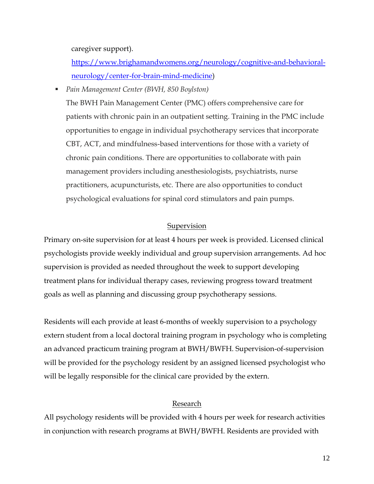caregiver support).

[https://www.brighamandwomens.org/neurology/cognitive-and-behavioral](https://www.brighamandwomens.org/neurology/cognitive-and-behavioral-neurology/center-for-brain-mind-medicine)[neurology/center-for-brain-mind-medicine\)](https://www.brighamandwomens.org/neurology/cognitive-and-behavioral-neurology/center-for-brain-mind-medicine)

▪ *Pain Management Center (BWH, 850 Boylston)*

The BWH Pain Management Center (PMC) offers comprehensive care for patients with chronic pain in an outpatient setting. Training in the PMC include opportunities to engage in individual psychotherapy services that incorporate CBT, ACT, and mindfulness-based interventions for those with a variety of chronic pain conditions. There are opportunities to collaborate with pain management providers including anesthesiologists, psychiatrists, nurse practitioners, acupuncturists, etc. There are also opportunities to conduct psychological evaluations for spinal cord stimulators and pain pumps.

#### Supervision

Primary on-site supervision for at least 4 hours per week is provided. Licensed clinical psychologists provide weekly individual and group supervision arrangements. Ad hoc supervision is provided as needed throughout the week to support developing treatment plans for individual therapy cases, reviewing progress toward treatment goals as well as planning and discussing group psychotherapy sessions.

Residents will each provide at least 6-months of weekly supervision to a psychology extern student from a local doctoral training program in psychology who is completing an advanced practicum training program at BWH/BWFH. Supervision-of-supervision will be provided for the psychology resident by an assigned licensed psychologist who will be legally responsible for the clinical care provided by the extern.

#### Research

All psychology residents will be provided with 4 hours per week for research activities in conjunction with research programs at BWH/BWFH. Residents are provided with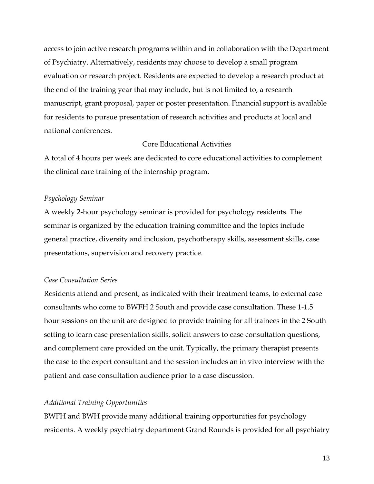access to join active research programs within and in collaboration with the Department of Psychiatry. Alternatively, residents may choose to develop a small program evaluation or research project. Residents are expected to develop a research product at the end of the training year that may include, but is not limited to, a research manuscript, grant proposal, paper or poster presentation. Financial support is available for residents to pursue presentation of research activities and products at local and national conferences.

#### Core Educational Activities

A total of 4 hours per week are dedicated to core educational activities to complement the clinical care training of the internship program.

#### *Psychology Seminar*

A weekly 2-hour psychology seminar is provided for psychology residents. The seminar is organized by the education training committee and the topics include general practice, diversity and inclusion, psychotherapy skills, assessment skills, case presentations, supervision and recovery practice.

#### *Case Consultation Series*

Residents attend and present, as indicated with their treatment teams, to external case consultants who come to BWFH 2 South and provide case consultation. These 1-1.5 hour sessions on the unit are designed to provide training for all trainees in the 2 South setting to learn case presentation skills, solicit answers to case consultation questions, and complement care provided on the unit. Typically, the primary therapist presents the case to the expert consultant and the session includes an in vivo interview with the patient and case consultation audience prior to a case discussion.

#### *Additional Training Opportunities*

BWFH and BWH provide many additional training opportunities for psychology residents. A weekly psychiatry department Grand Rounds is provided for all psychiatry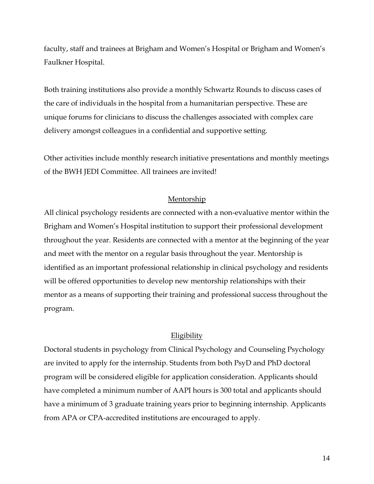faculty, staff and trainees at Brigham and Women's Hospital or Brigham and Women's Faulkner Hospital.

Both training institutions also provide a monthly Schwartz Rounds to discuss cases of the care of individuals in the hospital from a humanitarian perspective. These are unique forums for clinicians to discuss the challenges associated with complex care delivery amongst colleagues in a confidential and supportive setting.

Other activities include monthly research initiative presentations and monthly meetings of the BWH JEDI Committee. All trainees are invited!

#### Mentorship

All clinical psychology residents are connected with a non-evaluative mentor within the Brigham and Women's Hospital institution to support their professional development throughout the year. Residents are connected with a mentor at the beginning of the year and meet with the mentor on a regular basis throughout the year. Mentorship is identified as an important professional relationship in clinical psychology and residents will be offered opportunities to develop new mentorship relationships with their mentor as a means of supporting their training and professional success throughout the program.

#### Eligibility

Doctoral students in psychology from Clinical Psychology and Counseling Psychology are invited to apply for the internship. Students from both PsyD and PhD doctoral program will be considered eligible for application consideration. Applicants should have completed a minimum number of AAPI hours is 300 total and applicants should have a minimum of 3 graduate training years prior to beginning internship. Applicants from APA or CPA-accredited institutions are encouraged to apply.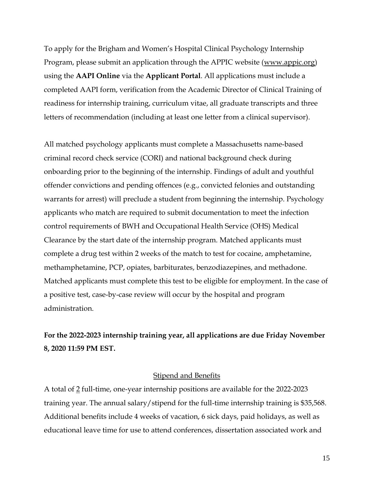To apply for the Brigham and Women's Hospital Clinical Psychology Internship Program, please submit an application through the APPIC website [\(www.appic.org\)](http://www.appic.org/) using the **AAPI Online** via the **Applicant Portal**. All applications must include a completed AAPI form, verification from the Academic Director of Clinical Training of readiness for internship training, curriculum vitae, all graduate transcripts and three letters of recommendation (including at least one letter from a clinical supervisor).

All matched psychology applicants must complete a Massachusetts name-based criminal record check service (CORI) and national background check during onboarding prior to the beginning of the internship. Findings of adult and youthful offender convictions and pending offences (e.g., convicted felonies and outstanding warrants for arrest) will preclude a student from beginning the internship. Psychology applicants who match are required to submit documentation to meet the infection control requirements of BWH and Occupational Health Service (OHS) Medical Clearance by the start date of the internship program. Matched applicants must complete a drug test within 2 weeks of the match to test for cocaine, amphetamine, methamphetamine, PCP, opiates, barbiturates, benzodiazepines, and methadone. Matched applicants must complete this test to be eligible for employment. In the case of a positive test, case-by-case review will occur by the hospital and program administration.

# **For the 2022-2023 internship training year, all applications are due Friday November 8, 2020 11:59 PM EST.**

#### **Stipend and Benefits**

A total of 2 full-time, one-year internship positions are available for the 2022-2023 training year. The annual salary/stipend for the full-time internship training is \$35,568. Additional benefits include 4 weeks of vacation, 6 sick days, paid holidays, as well as educational leave time for use to attend conferences, dissertation associated work and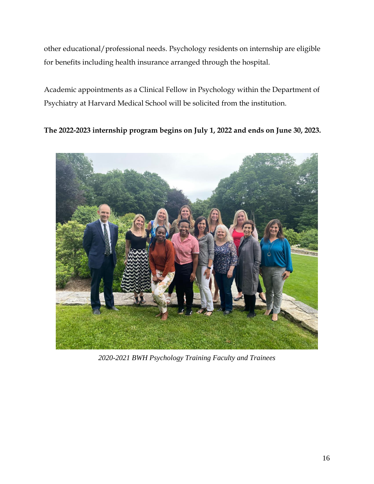other educational/professional needs. Psychology residents on internship are eligible for benefits including health insurance arranged through the hospital.

Academic appointments as a Clinical Fellow in Psychology within the Department of Psychiatry at Harvard Medical School will be solicited from the institution.

**The 2022-2023 internship program begins on July 1, 2022 and ends on June 30, 2023.**



*2020-2021 BWH Psychology Training Faculty and Trainees*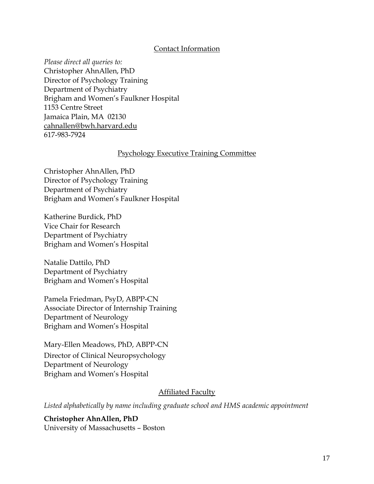### Contact Information

*Please direct all queries to:*  Christopher AhnAllen, PhD Director of Psychology Training Department of Psychiatry Brigham and Women's Faulkner Hospital 1153 Centre Street Jamaica Plain, MA 02130 [cahnallen@bwh.harvard.edu](mailto:cahnallen@bwh.harvard.edu) 617-983-7924

#### Psychology Executive Training Committee

Christopher AhnAllen, PhD Director of Psychology Training Department of Psychiatry Brigham and Women's Faulkner Hospital

Katherine Burdick, PhD Vice Chair for Research Department of Psychiatry Brigham and Women's Hospital

Natalie Dattilo, PhD Department of Psychiatry Brigham and Women's Hospital

Pamela Friedman, PsyD, ABPP-CN Associate Director of Internship Training Department of Neurology Brigham and Women's Hospital

Mary-Ellen Meadows, PhD, ABPP-CN Director of Clinical Neuropsychology Department of Neurology Brigham and Women's Hospital

#### **Affiliated Faculty**

*Listed alphabetically by name including graduate school and HMS academic appointment*

**Christopher AhnAllen, PhD** University of Massachusetts – Boston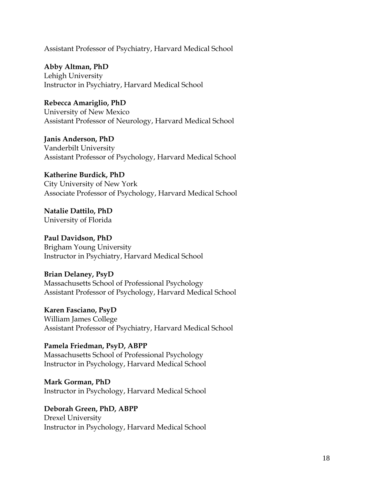Assistant Professor of Psychiatry, Harvard Medical School

**Abby Altman, PhD** Lehigh University Instructor in Psychiatry, Harvard Medical School

**Rebecca Amariglio, PhD** University of New Mexico Assistant Professor of Neurology, Harvard Medical School

**Janis Anderson, PhD** Vanderbilt University Assistant Professor of Psychology, Harvard Medical School

**Katherine Burdick, PhD** City University of New York Associate Professor of Psychology, Harvard Medical School

**Natalie Dattilo, PhD** University of Florida

**Paul Davidson, PhD** Brigham Young University Instructor in Psychiatry, Harvard Medical School

**Brian Delaney, PsyD** Massachusetts School of Professional Psychology Assistant Professor of Psychology, Harvard Medical School

**Karen Fasciano, PsyD** William James College Assistant Professor of Psychiatry, Harvard Medical School

**Pamela Friedman, PsyD, ABPP** Massachusetts School of Professional Psychology Instructor in Psychology, Harvard Medical School

**Mark Gorman, PhD** Instructor in Psychology, Harvard Medical School

**Deborah Green, PhD, ABPP** Drexel University Instructor in Psychology, Harvard Medical School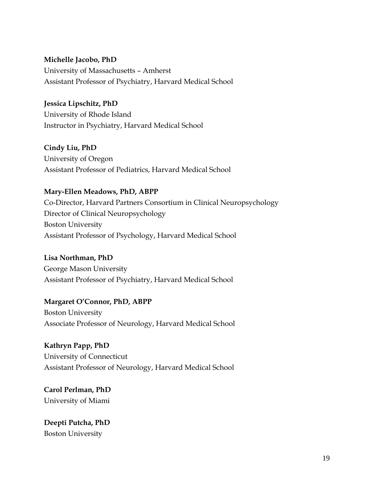## **Michelle Jacobo, PhD**

University of Massachusetts – Amherst Assistant Professor of Psychiatry, Harvard Medical School

## **Jessica Lipschitz, PhD**

University of Rhode Island Instructor in Psychiatry, Harvard Medical School

**Cindy Liu, PhD**

University of Oregon Assistant Professor of Pediatrics, Harvard Medical School

# **Mary-Ellen Meadows, PhD, ABPP**

Co-Director, Harvard Partners Consortium in Clinical Neuropsychology Director of Clinical Neuropsychology Boston University Assistant Professor of Psychology, Harvard Medical School

# **Lisa Northman, PhD**

George Mason University Assistant Professor of Psychiatry, Harvard Medical School

# **Margaret O'Connor, PhD, ABPP**

Boston University Associate Professor of Neurology, Harvard Medical School

# **Kathryn Papp, PhD** University of Connecticut Assistant Professor of Neurology, Harvard Medical School

**Carol Perlman, PhD** University of Miami

# **Deepti Putcha, PhD** Boston University